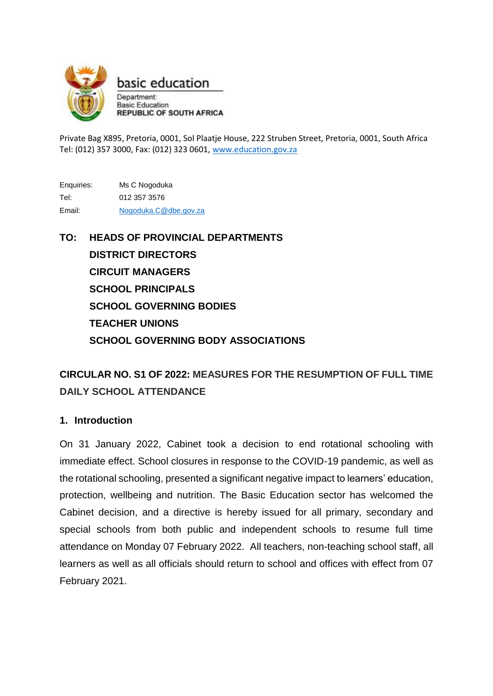

basic education Department:

**Basic Education REPUBLIC OF SOUTH AFRICA** 

Private Bag X895, Pretoria, 0001, Sol Plaatje House, 222 Struben Street, Pretoria, 0001, South Africa Tel: (012) 357 3000, Fax: (012) 323 0601[, www.education.gov.za](http://www.education.gov.za/)

Enquiries: Ms C Nogoduka Tel: 012 357 3576 Email: [Nogoduka.C@dbe.gov.za](mailto:Nogoduka.C@dbe.gov.za)

**TO: HEADS OF PROVINCIAL DEPARTMENTS DISTRICT DIRECTORS CIRCUIT MANAGERS SCHOOL PRINCIPALS SCHOOL GOVERNING BODIES TEACHER UNIONS SCHOOL GOVERNING BODY ASSOCIATIONS**

# **CIRCULAR NO. S1 OF 2022: MEASURES FOR THE RESUMPTION OF FULL TIME DAILY SCHOOL ATTENDANCE**

## **1. Introduction**

On 31 January 2022, Cabinet took a decision to end rotational schooling with immediate effect. School closures in response to the COVID-19 pandemic, as well as the rotational schooling, presented a significant negative impact to learners' education, protection, wellbeing and nutrition. The Basic Education sector has welcomed the Cabinet decision, and a directive is hereby issued for all primary, secondary and special schools from both public and independent schools to resume full time attendance on Monday 07 February 2022. All teachers, non-teaching school staff, all learners as well as all officials should return to school and offices with effect from 07 February 2021.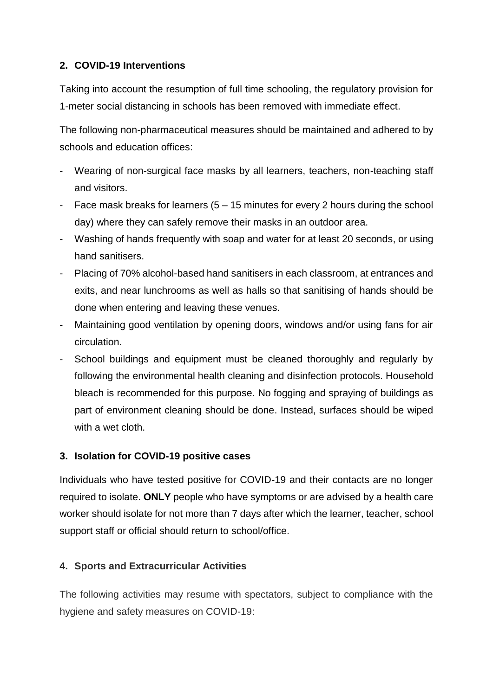## **2. COVID-19 Interventions**

Taking into account the resumption of full time schooling, the regulatory provision for 1-meter social distancing in schools has been removed with immediate effect.

The following non-pharmaceutical measures should be maintained and adhered to by schools and education offices:

- Wearing of non-surgical face masks by all learners, teachers, non-teaching staff and visitors.
- Face mask breaks for learners  $(5 15$  minutes for every 2 hours during the school day) where they can safely remove their masks in an outdoor area.
- Washing of hands frequently with soap and water for at least 20 seconds, or using hand sanitisers.
- Placing of 70% alcohol-based hand sanitisers in each classroom, at entrances and exits, and near lunchrooms as well as halls so that sanitising of hands should be done when entering and leaving these venues.
- Maintaining good ventilation by opening doors, windows and/or using fans for air circulation.
- School buildings and equipment must be cleaned thoroughly and regularly by following the environmental health cleaning and disinfection protocols. Household bleach is recommended for this purpose. No fogging and spraying of buildings as part of environment cleaning should be done. Instead, surfaces should be wiped with a wet cloth.

#### **3. Isolation for COVID-19 positive cases**

Individuals who have tested positive for COVID-19 and their contacts are no longer required to isolate. **ONLY** people who have symptoms or are advised by a health care worker should isolate for not more than 7 days after which the learner, teacher, school support staff or official should return to school/office.

#### **4. Sports and Extracurricular Activities**

The following activities may resume with spectators, subject to compliance with the hygiene and safety measures on COVID-19: